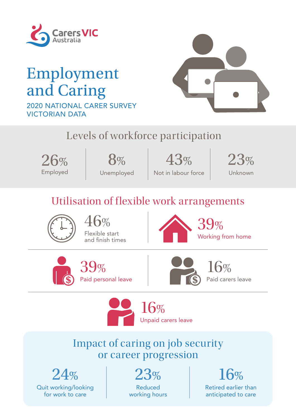

# Employment and Caring 2020 NATIONAL CARER SURVEY VICTORIAN DATA



# Levels of workforce participation



8% Unemployed

 $41.41$  of responding to respond to the long-term indicated, or is likely that has last  $\sim$  is likely that has last  $\sim$  $\begin{array}{|l|c|c|c|c|}\n\hline\n26\% & 8\% & 43\% & 26\end{array}$ 43%

Not in labour force



# Utilisation of flexible work arrangements



 $6%$ Flexible start and finish times



39% Working from home





Paid carers leave



## Impact of caring on job security or career progression

 $24%$ Quit working/looking for work to care

 $23%$ Reduced working hours 16%

Retired earlier than anticipated to care